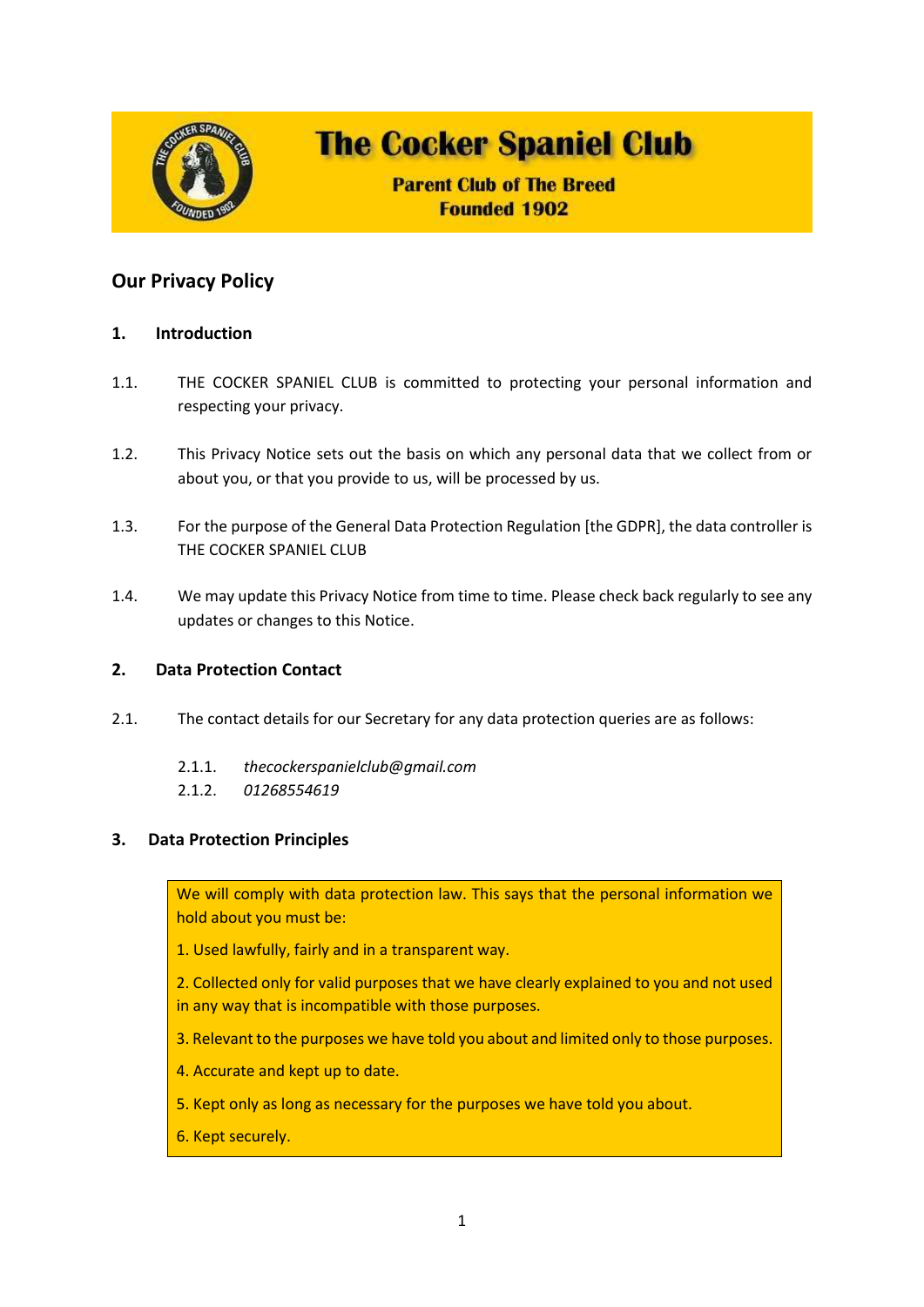

# **The Cocker Spaniel Club**

**Parent Club of The Breed Founded 1902** 

# **Our Privacy Policy**

# **1. Introduction**

- 1.1. THE COCKER SPANIEL CLUB is committed to protecting your personal information and respecting your privacy.
- 1.2. This Privacy Notice sets out the basis on which any personal data that we collect from or about you, or that you provide to us, will be processed by us.
- 1.3. For the purpose of the General Data Protection Regulation [the GDPR], the data controller is THE COCKER SPANIEL CLUB
- 1.4. We may update this Privacy Notice from time to time. Please check back regularly to see any updates or changes to this Notice.

# **2. Data Protection Contact**

- 2.1. The contact details for our Secretary for any data protection queries are as follows:
	- 2.1.1. *thecockerspanielclub@gmail.com*
	- 2.1.2. *01268554619*

# **3. Data Protection Principles**

We will comply with data protection law. This says that the personal information we hold about you must be:

1. Used lawfully, fairly and in a transparent way.

2. Collected only for valid purposes that we have clearly explained to you and not used in any way that is incompatible with those purposes.

- 3. Relevant to the purposes we have told you about and limited only to those purposes.
- 4. Accurate and kept up to date.
- 5. Kept only as long as necessary for the purposes we have told you about.
- 6. Kept securely.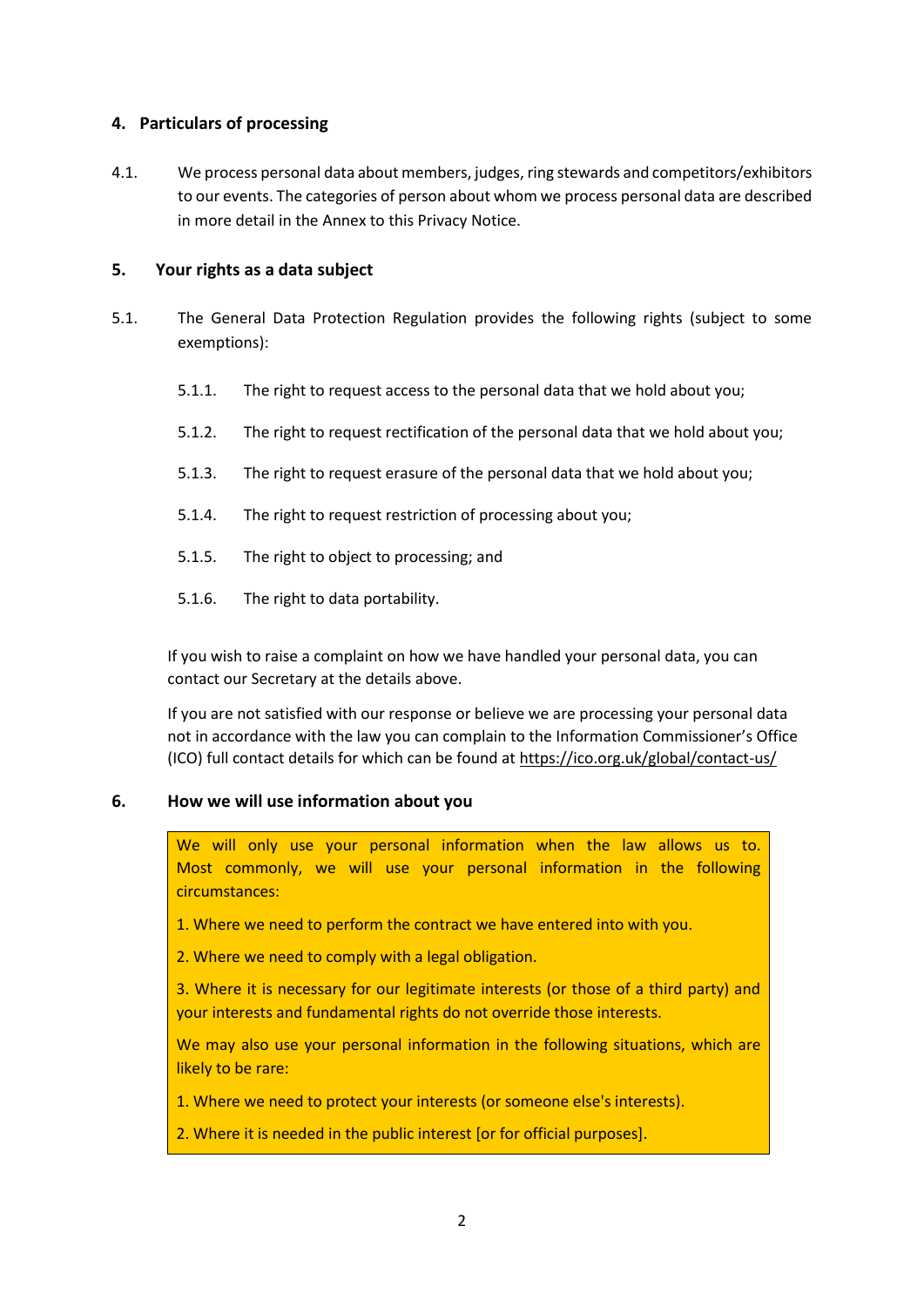# **4. Particulars of processing**

4.1. We process personal data about members, judges, ring stewards and competitors/exhibitors to our events. The categories of person about whom we process personal data are described in more detail in the Annex to this Privacy Notice.

# **5. Your rights as a data subject**

- 5.1. The General Data Protection Regulation provides the following rights (subject to some exemptions):
	- 5.1.1. The right to request access to the personal data that we hold about you;
	- 5.1.2. The right to request rectification of the personal data that we hold about you;
	- 5.1.3. The right to request erasure of the personal data that we hold about you;
	- 5.1.4. The right to request restriction of processing about you;
	- 5.1.5. The right to object to processing; and
	- 5.1.6. The right to data portability.

If you wish to raise a complaint on how we have handled your personal data, you can contact our Secretary at the details above.

If you are not satisfied with our response or believe we are processing your personal data not in accordance with the law you can complain to the Information Commissioner's Office (ICO) full contact details for which can be found a[t https://ico.org.uk/global/contact-us/](https://ico.org.uk/global/contact-us/)

# **6. How we will use information about you**

We will only use your personal information when the law allows us to. Most commonly, we will use your personal information in the following circumstances:

1. Where we need to perform the contract we have entered into with you.

2. Where we need to comply with a legal obligation.

3. Where it is necessary for our legitimate interests (or those of a third party) and your interests and fundamental rights do not override those interests.

We may also use your personal information in the following situations, which are likely to be rare:

1. Where we need to protect your interests (or someone else's interests).

2. Where it is needed in the public interest [or for official purposes].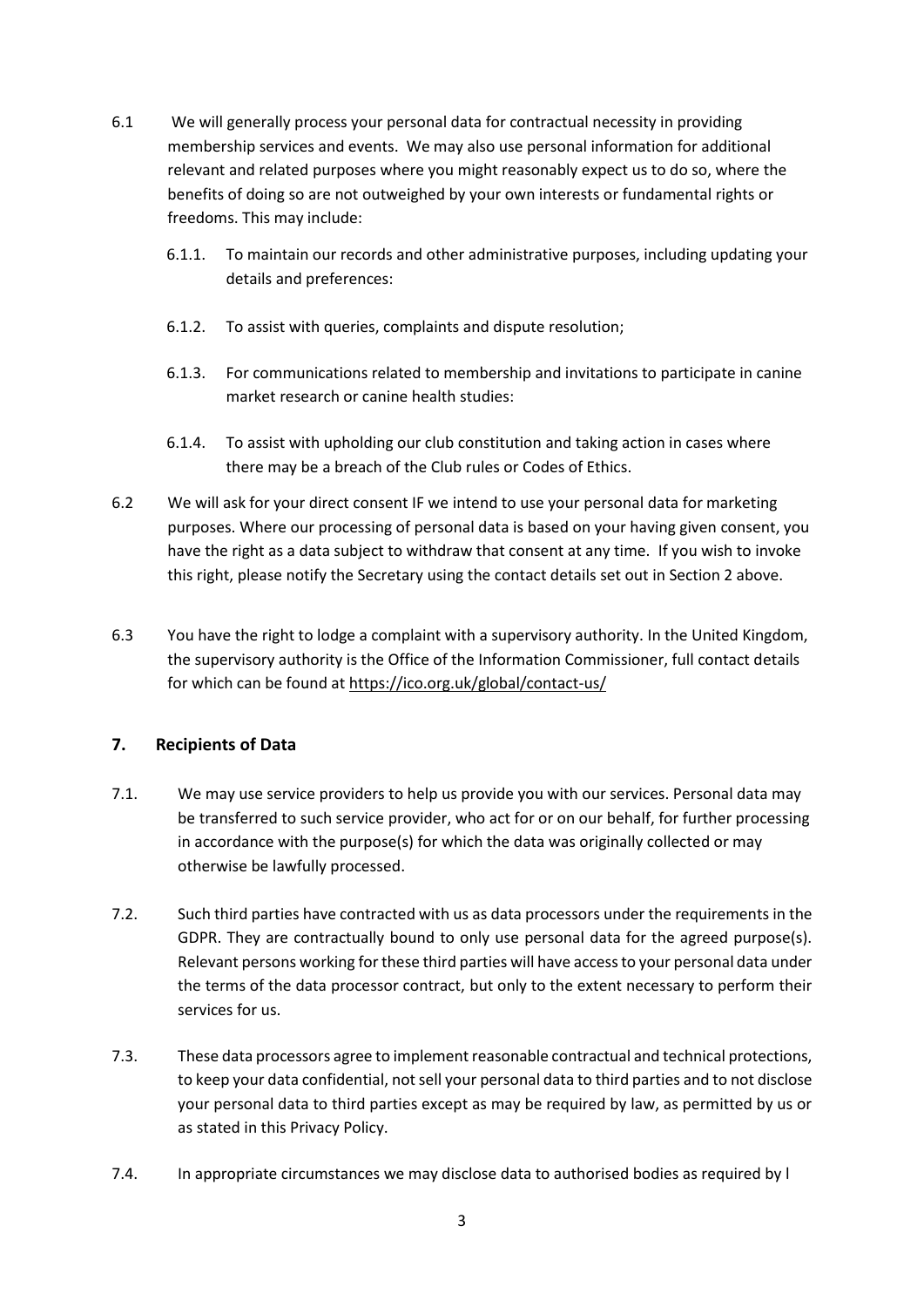- 6.1 We will generally process your personal data for contractual necessity in providing membership services and events. We may also use personal information for additional relevant and related purposes where you might reasonably expect us to do so, where the benefits of doing so are not outweighed by your own interests or fundamental rights or freedoms. This may include:
	- 6.1.1. To maintain our records and other administrative purposes, including updating your details and preferences:
	- 6.1.2. To assist with queries, complaints and dispute resolution;
	- 6.1.3. For communications related to membership and invitations to participate in canine market research or canine health studies:
	- 6.1.4. To assist with upholding our club constitution and taking action in cases where there may be a breach of the Club rules or Codes of Ethics.
- 6.2 We will ask for your direct consent IF we intend to use your personal data for marketing purposes. Where our processing of personal data is based on your having given consent, you have the right as a data subject to withdraw that consent at any time. If you wish to invoke this right, please notify the Secretary using the contact details set out in Section 2 above.
- 6.3 You have the right to lodge a complaint with a supervisory authority. In the United Kingdom, the supervisory authority is the Office of the Information Commissioner, full contact details for which can be found at<https://ico.org.uk/global/contact-us/>

# **7. Recipients of Data**

- 7.1. We may use service providers to help us provide you with our services. Personal data may be transferred to such service provider, who act for or on our behalf, for further processing in accordance with the purpose(s) for which the data was originally collected or may otherwise be lawfully processed.
- 7.2. Such third parties have contracted with us as data processors under the requirements in the GDPR. They are contractually bound to only use personal data for the agreed purpose(s). Relevant persons working for these third parties will have access to your personal data under the terms of the data processor contract, but only to the extent necessary to perform their services for us.
- 7.3. These data processors agree to implement reasonable contractual and technical protections, to keep your data confidential, not sell your personal data to third parties and to not disclose your personal data to third parties except as may be required by law, as permitted by us or as stated in this Privacy Policy.
- 7.4. In appropriate circumstances we may disclose data to authorised bodies as required by l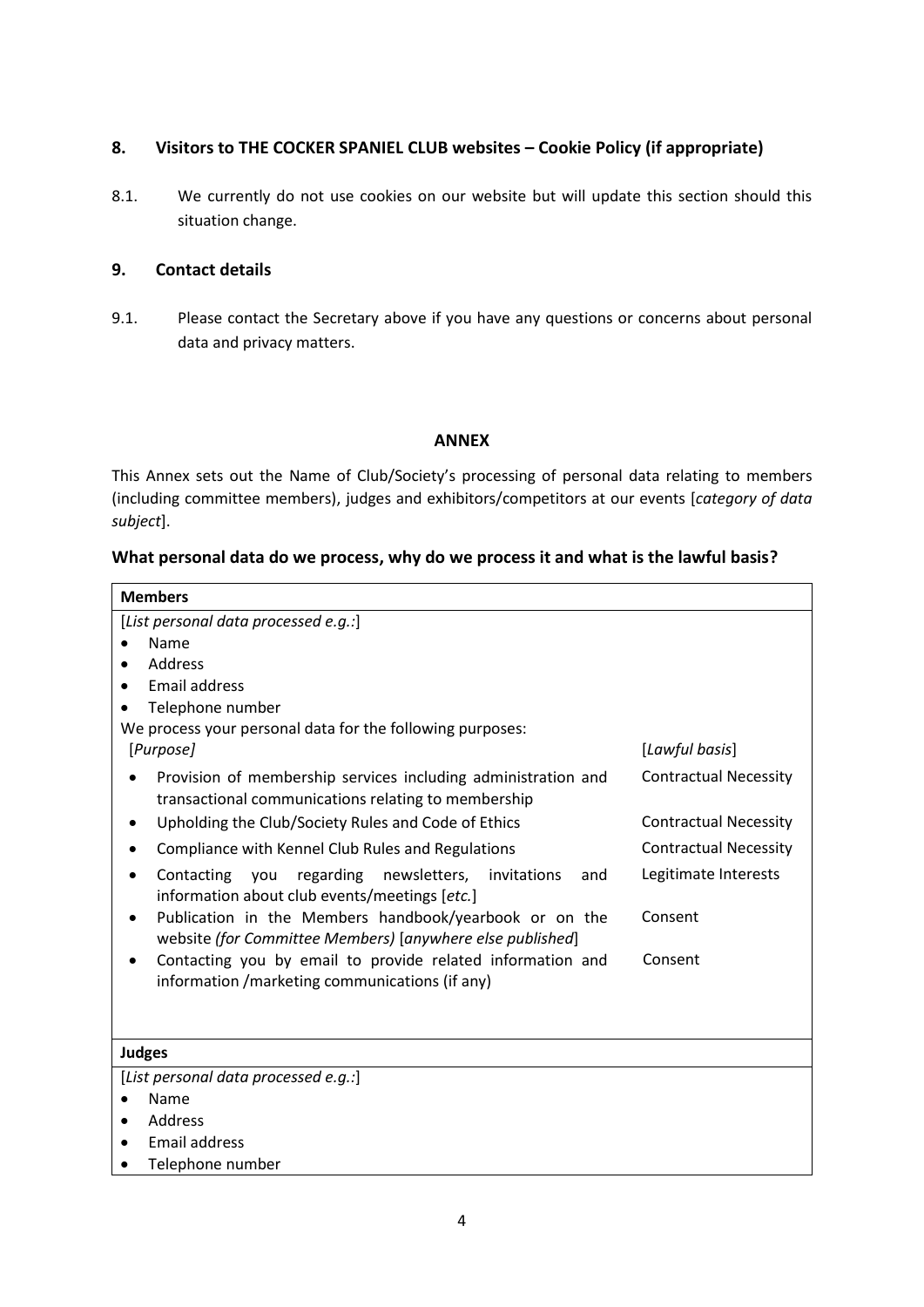# **8. Visitors to THE COCKER SPANIEL CLUB websites – Cookie Policy (if appropriate)**

8.1. We currently do not use cookies on our website but will update this section should this situation change.

# **9. Contact details**

9.1. Please contact the Secretary above if you have any questions or concerns about personal data and privacy matters.

#### **ANNEX**

This Annex sets out the Name of Club/Society's processing of personal data relating to members (including committee members), judges and exhibitors/competitors at our events [*category of data subject*].

# **What personal data do we process, why do we process it and what is the lawful basis?**

| <b>Members</b>                                                                                                       |                              |
|----------------------------------------------------------------------------------------------------------------------|------------------------------|
| [List personal data processed e.g.:]                                                                                 |                              |
| Name                                                                                                                 |                              |
| Address                                                                                                              |                              |
| <b>Email address</b>                                                                                                 |                              |
| Telephone number                                                                                                     |                              |
| We process your personal data for the following purposes:                                                            |                              |
| [Purpose]                                                                                                            | [Lawful basis]               |
| Provision of membership services including administration and<br>transactional communications relating to membership | <b>Contractual Necessity</b> |
| Upholding the Club/Society Rules and Code of Ethics                                                                  | <b>Contractual Necessity</b> |
| Compliance with Kennel Club Rules and Regulations                                                                    | <b>Contractual Necessity</b> |
| regarding newsletters, invitations<br>Contacting you<br>and<br>information about club events/meetings [etc.]         | Legitimate Interests         |
| Publication in the Members handbook/yearbook or on the<br>website (for Committee Members) [anywhere else published]  | Consent                      |
| Contacting you by email to provide related information and<br>information /marketing communications (if any)         | Consent                      |
|                                                                                                                      |                              |
| <b>Judges</b>                                                                                                        |                              |
| [List personal data processed e.g.:]                                                                                 |                              |
| Name                                                                                                                 |                              |
| Address                                                                                                              |                              |
| <b>Email address</b>                                                                                                 |                              |
| Telephone number                                                                                                     |                              |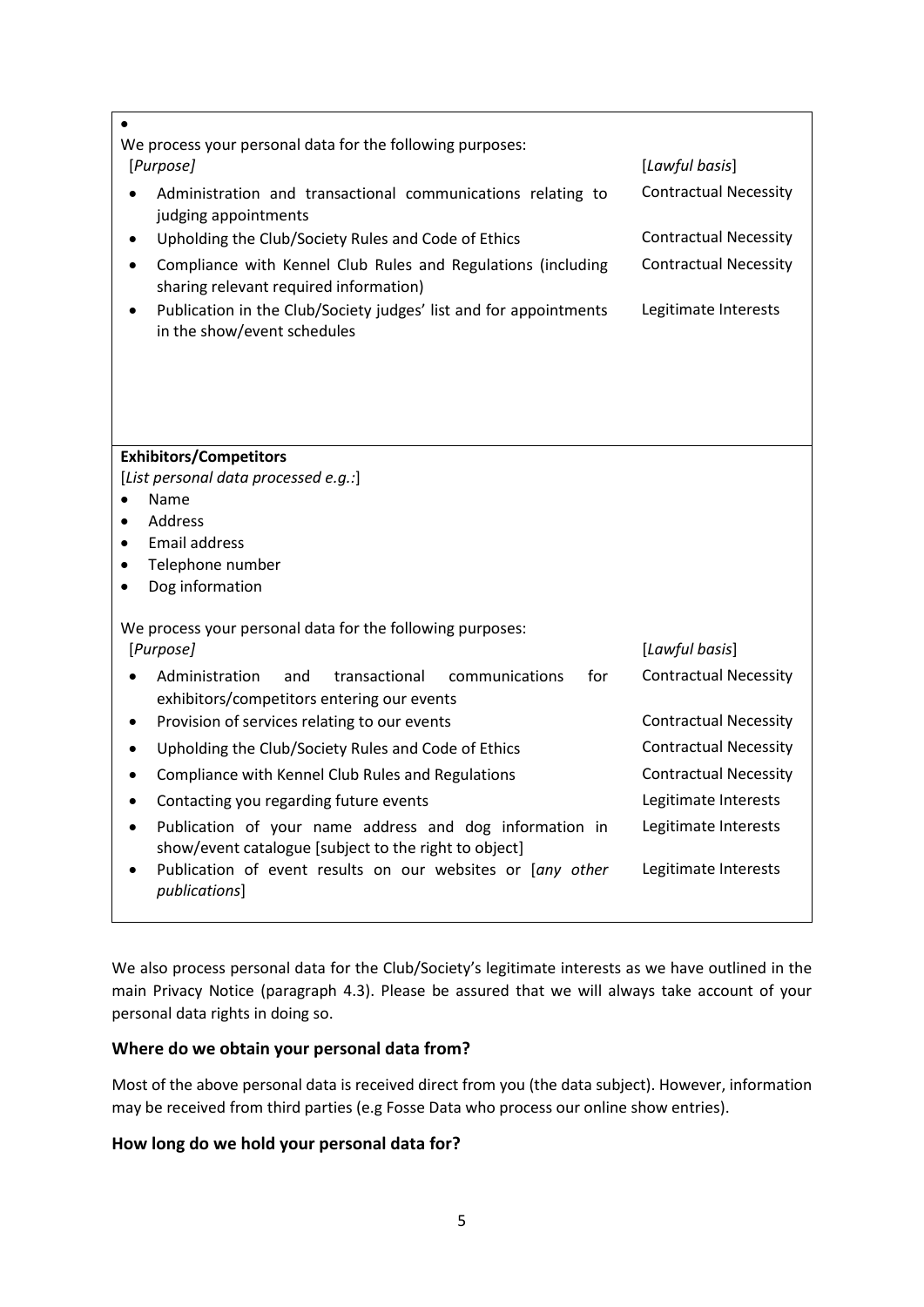| We process your personal data for the following purposes:                                                        |                              |
|------------------------------------------------------------------------------------------------------------------|------------------------------|
| [Purpose]                                                                                                        | [Lawful basis]               |
| Administration and transactional communications relating to<br>judging appointments                              | <b>Contractual Necessity</b> |
| Upholding the Club/Society Rules and Code of Ethics                                                              | <b>Contractual Necessity</b> |
| Compliance with Kennel Club Rules and Regulations (including<br>٠<br>sharing relevant required information)      | <b>Contractual Necessity</b> |
| Publication in the Club/Society judges' list and for appointments<br>٠<br>in the show/event schedules            | Legitimate Interests         |
|                                                                                                                  |                              |
|                                                                                                                  |                              |
|                                                                                                                  |                              |
| <b>Exhibitors/Competitors</b>                                                                                    |                              |
| [List personal data processed e.g.:]                                                                             |                              |
| Name                                                                                                             |                              |
| Address<br>$\bullet$                                                                                             |                              |
| Email address<br>$\bullet$                                                                                       |                              |
| Telephone number                                                                                                 |                              |
| Dog information<br>٠                                                                                             |                              |
| We process your personal data for the following purposes:                                                        |                              |
| [Purpose]                                                                                                        | [Lawful basis]               |
| Administration<br>transactional<br>communications<br>for<br>and                                                  | <b>Contractual Necessity</b> |
| exhibitors/competitors entering our events                                                                       |                              |
| Provision of services relating to our events                                                                     | <b>Contractual Necessity</b> |
| Upholding the Club/Society Rules and Code of Ethics                                                              | <b>Contractual Necessity</b> |
| Compliance with Kennel Club Rules and Regulations                                                                | <b>Contractual Necessity</b> |
| Contacting you regarding future events                                                                           | Legitimate Interests         |
| Publication of your name address and dog information in<br>show/event catalogue [subject to the right to object] | Legitimate Interests         |
| Publication of event results on our websites or [any other<br>publications]                                      | Legitimate Interests         |
|                                                                                                                  |                              |

We also process personal data for the Club/Society's legitimate interests as we have outlined in the main Privacy Notice (paragraph 4.3). Please be assured that we will always take account of your personal data rights in doing so.

# **Where do we obtain your personal data from?**

Most of the above personal data is received direct from you (the data subject). However, information may be received from third parties (e.g Fosse Data who process our online show entries).

# **How long do we hold your personal data for?**